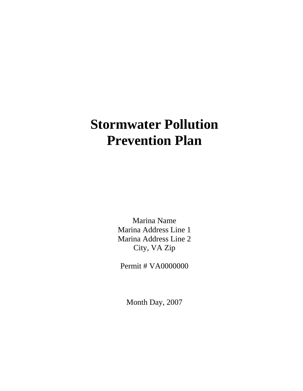# **Stormwater Pollution Prevention Plan**

Marina Name Marina Address Line 1 Marina Address Line 2 City, VA Zip

Permit # VA0000000

Month Day, 2007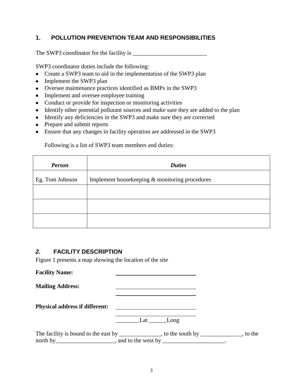### **1. POLLUTION PREVENTION TEAM AND RESPONSIBILITIES**

The SWP3 coordinator for the facility is \_\_\_\_\_\_\_\_\_\_\_\_\_\_\_\_\_\_\_\_\_\_\_\_\_

SWP3 coordinator duties include the following:

- Create a SWP3 team to aid in the implementation of the SWP3 plan
- Implement the SWP3 plan
- Oversee maintenance practices identified as BMPs in the SWP3
- Implement and oversee employee training
- Conduct or provide for inspection or monitoring activities
- Identify other potential pollutant sources and make sure they are added to the plan
- Identify any deficiencies in the SWP3 and make sure they are corrected
- Prepare and submit reports
- Ensure that any changes in facility operation are addressed in the SWP3

Following is a list of SWP3 team members and duties:

| <b>Person</b>   | <b>Duties</b>                                  |
|-----------------|------------------------------------------------|
| Eg. Tom Johnson | Implement housekeeping & monitoring procedures |
|                 |                                                |
|                 |                                                |
|                 |                                                |

### *2.* **FACILITY DESCRIPTION**

Figure 1 presents a map showing the location of the site

| <b>Facility Name:</b>                 |                                                                                                                                                                            |  |
|---------------------------------------|----------------------------------------------------------------------------------------------------------------------------------------------------------------------------|--|
| <b>Mailing Address:</b>               |                                                                                                                                                                            |  |
| <b>Physical address if different:</b> | <u> 1989 - Andrea Station Barbara, amerikan per</u>                                                                                                                        |  |
|                                       | Lat $\_\_$<br>Long                                                                                                                                                         |  |
|                                       | The facility is bound to the east by ______________, to the south by ___________, to the<br>north by _________________________, and to the west by ______________________. |  |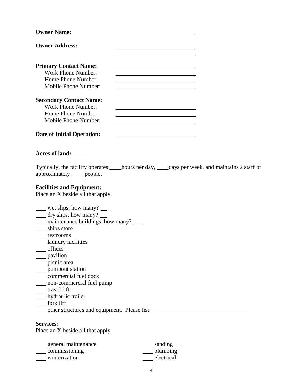| <b>Owner Name:</b>                                                                                                                                                                                                                                                                                                                                                                                          |                                                                                                                                                                                      |  |
|-------------------------------------------------------------------------------------------------------------------------------------------------------------------------------------------------------------------------------------------------------------------------------------------------------------------------------------------------------------------------------------------------------------|--------------------------------------------------------------------------------------------------------------------------------------------------------------------------------------|--|
| <b>Owner Address:</b>                                                                                                                                                                                                                                                                                                                                                                                       |                                                                                                                                                                                      |  |
| <b>Primary Contact Name:</b><br>Work Phone Number:<br>Home Phone Number:<br>Mobile Phone Number:                                                                                                                                                                                                                                                                                                            | <u> 1980 - Johann Barbara, martxa alemaniar amerikan a</u><br><u> 1989 - Johann Barbara, martxa alemaniar a</u><br><u> 1980 - Johann Barn, amerikansk politiker (d. 1980)</u>        |  |
| <b>Secondary Contact Name:</b><br><b>Work Phone Number:</b><br>Home Phone Number:<br>Mobile Phone Number:                                                                                                                                                                                                                                                                                                   | <u> 1989 - Johann Barn, mars ann an t-Amhain Aonaichte ann an t-Aonaichte ann an t-Aonaichte ann an t-Aonaichte a</u><br><u> 1989 - Johann Stoff, Amerikaansk politiker († 1908)</u> |  |
| <b>Date of Initial Operation:</b>                                                                                                                                                                                                                                                                                                                                                                           |                                                                                                                                                                                      |  |
| Acres of land:                                                                                                                                                                                                                                                                                                                                                                                              |                                                                                                                                                                                      |  |
| Typically, the facility operates ______hours per day, _____days per week, and maintains a staff of<br>approximately _____ people.                                                                                                                                                                                                                                                                           |                                                                                                                                                                                      |  |
| <b>Facilities and Equipment:</b><br>Place an X beside all that apply.                                                                                                                                                                                                                                                                                                                                       |                                                                                                                                                                                      |  |
| ___ wet slips, how many? __<br>___ dry slips, how many? _<br><u>___</u> maintenance buildings, how many? ____<br>__ ships store<br>____ restrooms<br><b>Laundry facilities</b><br>offices<br>__ pavilion<br>___ picnic area<br>____ pumpout station<br>commercial fuel dock<br>non-commercial fuel pump<br>travel lift<br>__ hydraulic trailer<br>fork lift<br>other structures and equipment. Please list: |                                                                                                                                                                                      |  |
| <b>Services:</b><br>Place an X beside all that apply                                                                                                                                                                                                                                                                                                                                                        |                                                                                                                                                                                      |  |

general maintenance and sanding commissioning plumbing winterization electrical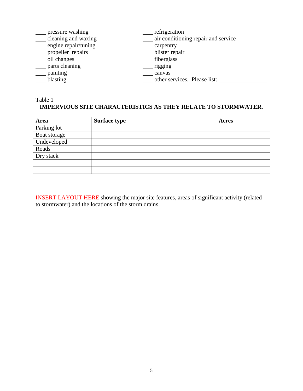| pressure washing     | refrigeration                       |
|----------------------|-------------------------------------|
| cleaning and waxing  | air conditioning repair and service |
| engine repair/tuning | carpentry                           |
| propeller repairs    | blister repair                      |
| oil changes          | fiberglass                          |
| parts cleaning       | rigging                             |
| painting             | canvas                              |
| blasting             | other services. Please list:        |
|                      |                                     |

# Table 1 **IMPERVIOUS SITE CHARACTERISTICS AS THEY RELATE TO STORMWATER.**

| Area         | <b>Surface type</b> | Acres |
|--------------|---------------------|-------|
| Parking lot  |                     |       |
| Boat storage |                     |       |
| Undeveloped  |                     |       |
| Roads        |                     |       |
| Dry stack    |                     |       |
|              |                     |       |
|              |                     |       |

INSERT LAYOUT HERE showing the major site features, areas of significant activity (related to stormwater) and the locations of the storm drains.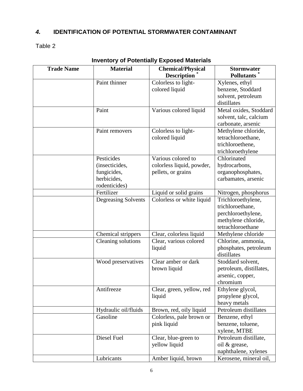# *4.* **IDENTIFICATION OF POTENTIAL STORMWATER CONTAMINANT**

Table 2

| <b>Trade Name</b> | <b>Material</b>      | <b>Chemical/Physical</b>  | <b>Stormwater</b>       |
|-------------------|----------------------|---------------------------|-------------------------|
|                   |                      | <b>Description</b>        | <b>Pollutants</b>       |
|                   | Paint thinner        | Colorless to light-       | Xylenes, ethyl          |
|                   |                      | colored liquid            | benzene, Stoddard       |
|                   |                      |                           | solvent, petroleum      |
|                   |                      |                           | distillates             |
|                   | Paint                | Various colored liquid    | Metal oxides, Stoddard  |
|                   |                      |                           | solvent, talc, calcium  |
|                   |                      |                           | carbonate, arsenic      |
|                   | Paint removers       | Colorless to light-       | Methylene chloride,     |
|                   |                      | colored liquid            | tetrachloroethane,      |
|                   |                      |                           | trichloroethene,        |
|                   |                      |                           | trichloroethylene       |
|                   | Pesticides           | Various colored to        | Chlorinated             |
|                   | (insecticides,       | colorless liquid, powder, | hydrocarbons,           |
|                   | fungicides,          | pellets, or grains        | organophosphates,       |
|                   | herbicides,          |                           | carbamates, arsenic     |
|                   | rodenticides)        |                           |                         |
|                   | Fertilizer           | Liquid or solid grains    | Nitrogen, phosphorus    |
|                   | Degreasing Solvents  | Colorless or white liquid | Trichloroethylene,      |
|                   |                      |                           | trichloroethane,        |
|                   |                      |                           | perchloroethylene,      |
|                   |                      |                           | methylene chloride,     |
|                   |                      |                           | tetrachloroethane       |
|                   | Chemical strippers   | Clear, colorless liquid   | Methylene chloride      |
|                   | Cleaning solutions   | Clear, various colored    | Chlorine, ammonia,      |
|                   |                      | liquid                    | phosphates, petroleum   |
|                   |                      |                           | distillates             |
|                   | Wood preservatives   | Clear amber or dark       | Stoddard solvent,       |
|                   |                      | brown liquid              | petroleum, distillates, |
|                   |                      |                           | arsenic, copper,        |
|                   |                      |                           | chromium                |
|                   | Antifreeze           | Clear, green, yellow, red | Ethylene glycol,        |
|                   |                      | liquid                    | propylene glycol,       |
|                   |                      |                           | heavy metals            |
|                   | Hydraulic oil/fluids | Brown, red, oily liquid   | Petroleum distillates   |
|                   | Gasoline             | Colorless, pale brown or  | Benzene, ethyl          |
|                   |                      | pink liquid               | benzene, toluene,       |
|                   |                      |                           | xylene, MTBE            |
|                   | Diesel Fuel          | Clear, blue-green to      | Petroleum distillate,   |
|                   |                      | yellow liquid             | oil & grease,           |
|                   |                      |                           | naphthalene, xylenes    |
|                   | Lubricants           | Amber liquid, brown       | Kerosene, mineral oil,  |

## **Inventory of Potentially Exposed Materials**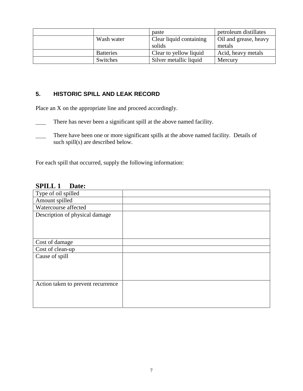|                  | paste                   | petroleum distillates |
|------------------|-------------------------|-----------------------|
| Wash water       | Clear liquid containing | Oil and grease, heavy |
|                  | solids                  | metals                |
| <b>Batteries</b> | Clear to yellow liquid  | Acid, heavy metals    |
| Switches         | Silver metallic liquid  | Mercury               |

## **5. HISTORIC SPILL AND LEAK RECORD**

Place an X on the appropriate line and proceed accordingly.

- There has never been a significant spill at the above named facility.
- There have been one or more significant spills at the above named facility. Details of such spill(s) are described below.

For each spill that occurred, supply the following information:

### **SPILL 1 Date:**

| Type of oil spilled                |  |
|------------------------------------|--|
| Amount spilled                     |  |
| Watercourse affected               |  |
| Description of physical damage     |  |
|                                    |  |
|                                    |  |
|                                    |  |
| Cost of damage                     |  |
| Cost of clean-up                   |  |
| Cause of spill                     |  |
|                                    |  |
|                                    |  |
|                                    |  |
| Action taken to prevent recurrence |  |
|                                    |  |
|                                    |  |
|                                    |  |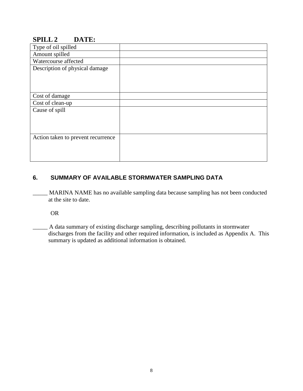# **SPILL 2 DATE:**

| Type of oil spilled                |  |
|------------------------------------|--|
| Amount spilled                     |  |
| Watercourse affected               |  |
| Description of physical damage     |  |
|                                    |  |
|                                    |  |
|                                    |  |
| Cost of damage                     |  |
| Cost of clean-up                   |  |
| Cause of spill                     |  |
|                                    |  |
|                                    |  |
|                                    |  |
| Action taken to prevent recurrence |  |
|                                    |  |
|                                    |  |
|                                    |  |

## **6. SUMMARY OF AVAILABLE STORMWATER SAMPLING DATA**

MARINA NAME has no available sampling data because sampling has not been conducted at the site to date.

OR

\_\_\_\_\_ A data summary of existing discharge sampling, describing pollutants in stormwater discharges from the facility and other required information, is included as Appendix A. This summary is updated as additional information is obtained.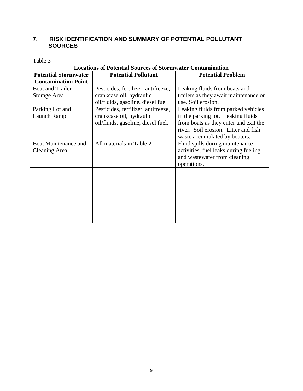### **7. RISK IDENTIFICATION AND SUMMARY OF POTENTIAL POLLUTANT SOURCES**

Table 3

| Locations of Potential Sources of Stormwater Contamination |                                     |                                        |  |
|------------------------------------------------------------|-------------------------------------|----------------------------------------|--|
| <b>Potential Stormwater</b>                                | <b>Potential Pollutant</b>          | <b>Potential Problem</b>               |  |
| <b>Contamination Point</b>                                 |                                     |                                        |  |
| <b>Boat and Trailer</b>                                    | Pesticides, fertilizer, antifreeze, | Leaking fluids from boats and          |  |
| Storage Area                                               | crankcase oil, hydraulic            | trailers as they await maintenance or  |  |
|                                                            | oil/fluids, gasoline, diesel fuel   | use. Soil erosion.                     |  |
| Parking Lot and                                            | Pesticides, fertilizer, antifreeze, | Leaking fluids from parked vehicles    |  |
| Launch Ramp                                                | crankcase oil, hydraulic            | in the parking lot. Leaking fluids     |  |
|                                                            | oil/fluids, gasoline, diesel fuel.  | from boats as they enter and exit the  |  |
|                                                            |                                     | river. Soil erosion. Litter and fish   |  |
|                                                            |                                     | waste accumulated by boaters.          |  |
| <b>Boat Maintenance and</b>                                | All materials in Table 2            | Fluid spills during maintenance        |  |
| Cleaning Area                                              |                                     | activities, fuel leaks during fueling, |  |
|                                                            |                                     | and wastewater from cleaning           |  |
|                                                            |                                     | operations.                            |  |
|                                                            |                                     |                                        |  |
|                                                            |                                     |                                        |  |
|                                                            |                                     |                                        |  |
|                                                            |                                     |                                        |  |
|                                                            |                                     |                                        |  |
|                                                            |                                     |                                        |  |
|                                                            |                                     |                                        |  |
|                                                            |                                     |                                        |  |

# **Locations of Potential Sources of Stormwater Contamination**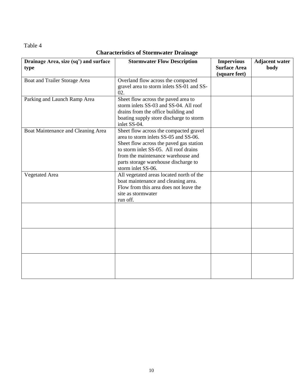Table 4

# **Characteristics of Stormwater Drainage**

| Drainage Area, size (sq') and surface<br>type | <b>Stormwater Flow Description</b>                                                                                                                                                                                                                                      | <b>Impervious</b><br><b>Surface Area</b><br>(square feet) | <b>Adjacent water</b><br>body |
|-----------------------------------------------|-------------------------------------------------------------------------------------------------------------------------------------------------------------------------------------------------------------------------------------------------------------------------|-----------------------------------------------------------|-------------------------------|
| Boat and Trailer Storage Area                 | Overland flow across the compacted<br>gravel area to storm inlets SS-01 and SS-<br>02.                                                                                                                                                                                  |                                                           |                               |
| Parking and Launch Ramp Area                  | Sheet flow across the paved area to<br>storm inlets SS-03 and SS-04. All roof<br>drains from the office building and<br>boating supply store discharge to storm<br>inlet SS-04.                                                                                         |                                                           |                               |
| Boat Maintenance and Cleaning Area            | Sheet flow across the compacted gravel<br>area to storm inlets SS-05 and SS-06.<br>Sheet flow across the paved gas station<br>to storm inlet SS-05. All roof drains<br>from the maintenance warehouse and<br>parts storage warehouse discharge to<br>storm inlet SS-06. |                                                           |                               |
| <b>Vegetated Area</b>                         | All vegetated areas located north of the<br>boat maintenance and cleaning area.<br>Flow from this area does not leave the<br>site as stormwater<br>run off.                                                                                                             |                                                           |                               |
|                                               |                                                                                                                                                                                                                                                                         |                                                           |                               |
|                                               |                                                                                                                                                                                                                                                                         |                                                           |                               |
|                                               |                                                                                                                                                                                                                                                                         |                                                           |                               |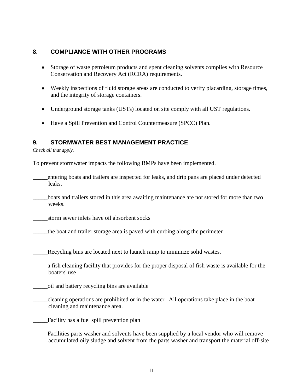### **8. COMPLIANCE WITH OTHER PROGRAMS**

- Storage of waste petroleum products and spent cleaning solvents complies with Resource Conservation and Recovery Act (RCRA) requirements.
- Weekly inspections of fluid storage areas are conducted to verify placarding, storage times, and the integrity of storage containers.
- Underground storage tanks (USTs) located on site comply with all UST regulations.
- Have a Spill Prevention and Control Countermeasure (SPCC) Plan.  $\bullet$

### **9. STORMWATER BEST MANAGEMENT PRACTICE**

*Check all that apply.*

To prevent stormwater impacts the following BMPs have been implemented.

- \_\_\_\_\_entering boats and trailers are inspected for leaks, and drip pans are placed under detected leaks.
- \_\_\_\_\_boats and trailers stored in this area awaiting maintenance are not stored for more than two weeks.

\_\_\_\_\_storm sewer inlets have oil absorbent socks

\_\_\_\_\_the boat and trailer storage area is paved with curbing along the perimeter

Recycling bins are located next to launch ramp to minimize solid wastes.

- \_\_\_\_\_a fish cleaning facility that provides for the proper disposal of fish waste is available for the boaters' use
- \_\_\_\_\_oil and battery recycling bins are available
- \_\_\_\_\_cleaning operations are prohibited or in the water. All operations take place in the boat cleaning and maintenance area.
- \_\_\_\_\_Facility has a fuel spill prevention plan
- \_\_\_\_\_Facilities parts washer and solvents have been supplied by a local vendor who will remove accumulated oily sludge and solvent from the parts washer and transport the material off-site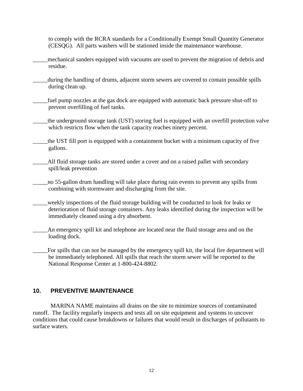to comply with the RCRA standards for a Conditionally Exempt Small Quantity Generator (CESQG). All parts washers will be stationed inside the maintenance warehouse.

- \_\_\_\_\_mechanical sanders equipped with vacuums are used to prevent the migration of debris and residue.
- during the handling of drums, adjacent storm sewers are covered to contain possible spills during clean up.
- \_\_\_\_\_fuel pump nozzles at the gas dock are equipped with automatic back pressure shut-off to prevent overfilling of fuel tanks.
- \_\_\_\_\_the underground storage tank (UST) storing fuel is equipped with an overfill protection valve which restricts flow when the tank capacity reaches ninety percent.
- \_\_\_\_\_the UST fill port is equipped with a containment bucket with a minimum capacity of five gallons.
- \_\_\_\_\_All fluid storage tanks are stored under a cover and on a raised pallet with secondary spill/leak prevention
- no 55-gallon drum handling will take place during rain events to prevent any spills from combining with stormwater and discharging from the site.
- \_\_\_\_\_weekly inspections of the fluid storage building will be conducted to look for leaks or deterioration of fluid storage containers. Any leaks identified during the inspection will be immediately cleaned using a dry absorbent.
	- An emergency spill kit and telephone are located near the fluid storage area and on the loading dock.
		- For spills that can not be managed by the emergency spill kit, the local fire department will be immediately telephoned. All spills that reach the storm sewer will be reported to the National Response Center at 1-800-424-8802.

### **10. PREVENTIVE MAINTENANCE**

MARINA NAME maintains all drains on the site to minimize sources of contaminated runoff. The facility regularly inspects and tests all on site equipment and systems to uncover conditions that could cause breakdowns or failures that would result in discharges of pollutants to surface waters.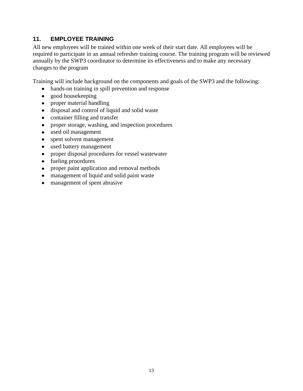### **11. EMPLOYEE TRAINING**

All new employees will be trained within one week of their start date. All employees will be required to participate in an annual refresher training course. The training program will be reviewed annually by the SWP3 coordinator to determine its effectiveness and to make any necessary changes to the program

Training will include background on the components and goals of the SWP3 and the following:

- hands-on training in spill prevention and response
- good housekeeping  $\bullet$
- proper material handling  $\bullet$
- disposal and control of liquid and solid waste  $\bullet$
- container filling and transfer  $\bullet$
- proper storage, washing, and inspection procedures  $\bullet$
- used oil management  $\bullet$
- spent solvent management  $\bullet$
- used battery management  $\bullet$
- proper disposal procedures for vessel wastewater  $\bullet$
- fueling procedures
- proper paint application and removal methods  $\bullet$
- management of liquid and solid paint waste  $\bullet$
- management of spent abrasive $\bullet$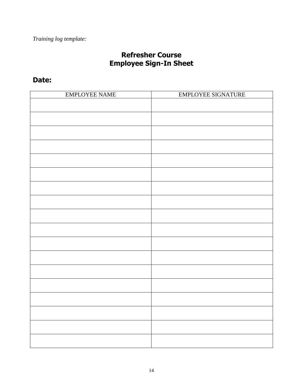# **Refresher Course Employee Sign-In Sheet**

# **Date:**

| <b>EMPLOYEE NAME</b> | EMPLOYEE SIGNATURE |
|----------------------|--------------------|
|                      |                    |
|                      |                    |
|                      |                    |
|                      |                    |
|                      |                    |
|                      |                    |
|                      |                    |
|                      |                    |
|                      |                    |
|                      |                    |
|                      |                    |
|                      |                    |
|                      |                    |
|                      |                    |
|                      |                    |
|                      |                    |
|                      |                    |
|                      |                    |
|                      |                    |
|                      |                    |
|                      |                    |
|                      |                    |
|                      |                    |
|                      |                    |
|                      |                    |
|                      |                    |
|                      |                    |
|                      |                    |
|                      |                    |
|                      |                    |
|                      |                    |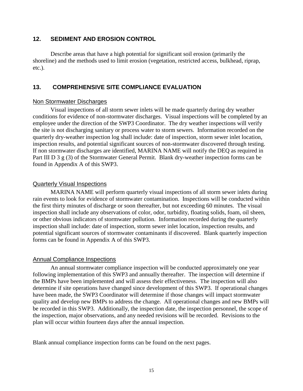### **12. SEDIMENT AND EROSION CONTROL**

Describe areas that have a high potential for significant soil erosion (primarily the shoreline) and the methods used to limit erosion (vegetation, restricted access, bulkhead, riprap, etc.).

### **13. COMPREHENSIVE SITE COMPLIANCE EVALUATION**

#### Non Stormwater Discharges

Visual inspections of all storm sewer inlets will be made quarterly during dry weather conditions for evidence of non-stormwater discharges. Visual inspections will be completed by an employee under the direction of the SWP3 Coordinator. The dry weather inspections will verify the site is not discharging sanitary or process water to storm sewers. Information recorded on the quarterly dry-weather inspection log shall include: date of inspection, storm sewer inlet location, inspection results, and potential significant sources of non-stormwater discovered through testing. If non stormwater discharges are identified, MARINA NAME will notify the DEQ as required in Part III D 3 g (3) of the Stormwater General Permit. Blank dry-weather inspection forms can be found in Appendix A of this SWP3.

#### Quarterly Visual Inspections

MARINA NAME will perform quarterly visual inspections of all storm sewer inlets during rain events to look for evidence of stormwater contamination. Inspections will be conducted within the first thirty minutes of discharge or soon thereafter, but not exceeding 60 minutes. The visual inspection shall include any observations of color, odor, turbidity, floating solids, foam, oil sheen, or other obvious indicators of stormwater pollution. Information recorded during the quarterly inspection shall include: date of inspection, storm sewer inlet location, inspection results, and potential significant sources of stormwater contaminants if discovered. Blank quarterly inspection forms can be found in Appendix A of this SWP3.

### Annual Compliance Inspections

An annual stormwater compliance inspection will be conducted approximately one year following implementation of this SWP3 and annually thereafter. The inspection will determine if the BMPs have been implemented and will assess their effectiveness. The inspection will also determine if site operations have changed since development of this SWP3. If operational changes have been made, the SWP3 Coordinator will determine if those changes will impact stormwater quality and develop new BMPs to address the change. All operational changes and new BMPs will be recorded in this SWP3. Additionally, the inspection date, the inspection personnel, the scope of the inspection, major observations, and any needed revisions will be recorded. Revisions to the plan will occur within fourteen days after the annual inspection.

Blank annual compliance inspection forms can be found on the next pages.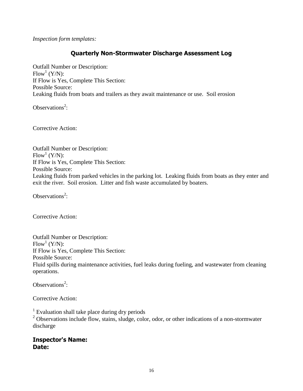*Inspection form templates:*

### **Quarterly Non-Stormwater Discharge Assessment Log**

Outfall Number or Description:  $Flow^1(Y/N):$ If Flow is Yes, Complete This Section: Possible Source: Leaking fluids from boats and trailers as they await maintenance or use. Soil erosion

Observations<sup>2</sup>:

Corrective Action:

Outfall Number or Description:  $Flow^1(Y/N):$ If Flow is Yes, Complete This Section: Possible Source: Leaking fluids from parked vehicles in the parking lot. Leaking fluids from boats as they enter and exit the river. Soil erosion. Litter and fish waste accumulated by boaters.

Observations<sup>2</sup>:

Corrective Action:

Outfall Number or Description:  $Flow^1(Y/N):$ If Flow is Yes, Complete This Section: Possible Source: Fluid spills during maintenance activities, fuel leaks during fueling, and wastewater from cleaning operations.

Observations<sup>2</sup>:

Corrective Action:

<sup>1</sup> Evaluation shall take place during dry periods

<sup>2</sup> Observations include flow, stains, sludge, color, odor, or other indications of a non-stormwater discharge

### **Inspector's Name: Date:**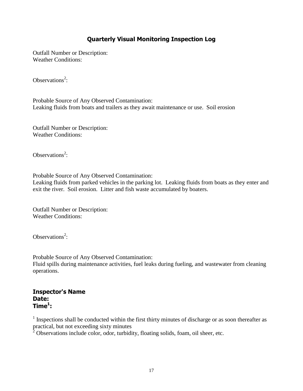### **Quarterly Visual Monitoring Inspection Log**

Outfall Number or Description: Weather Conditions:

Observations<sup>2</sup>:

Probable Source of Any Observed Contamination: Leaking fluids from boats and trailers as they await maintenance or use. Soil erosion

Outfall Number or Description: Weather Conditions:

Observations<sup>2</sup>:

Probable Source of Any Observed Contamination: Leaking fluids from parked vehicles in the parking lot. Leaking fluids from boats as they enter and exit the river. Soil erosion. Litter and fish waste accumulated by boaters.

Outfall Number or Description: Weather Conditions:

Observations<sup>2</sup>:

Probable Source of Any Observed Contamination: Fluid spills during maintenance activities, fuel leaks during fueling, and wastewater from cleaning operations.

### **Inspector's Name Date: Time<sup>1</sup> :**

<sup>1</sup> Inspections shall be conducted within the first thirty minutes of discharge or as soon thereafter as practical, but not exceeding sixty minutes

 $2^2$  Observations include color, odor, turbidity, floating solids, foam, oil sheer, etc.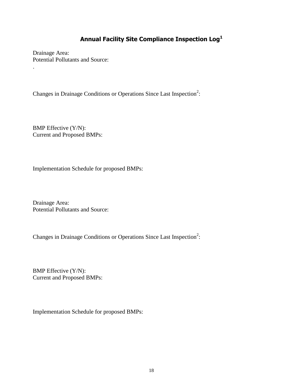# **Annual Facility Site Compliance Inspection Log<sup>1</sup>**

Drainage Area: Potential Pollutants and Source:

.

Changes in Drainage Conditions or Operations Since Last Inspection<sup>2</sup>:

BMP Effective (Y/N): Current and Proposed BMPs:

Implementation Schedule for proposed BMPs:

Drainage Area: Potential Pollutants and Source:

Changes in Drainage Conditions or Operations Since Last Inspection<sup>2</sup>:

BMP Effective (Y/N): Current and Proposed BMPs:

Implementation Schedule for proposed BMPs: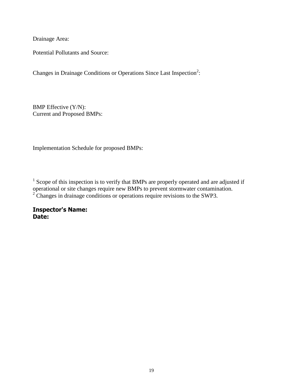Drainage Area:

Potential Pollutants and Source:

Changes in Drainage Conditions or Operations Since Last Inspection<sup>2</sup>:

BMP Effective (Y/N): Current and Proposed BMPs:

Implementation Schedule for proposed BMPs:

 $1$  Scope of this inspection is to verify that BMPs are properly operated and are adjusted if operational or site changes require new BMPs to prevent stormwater contamination. <sup>2</sup> Changes in drainage conditions or operations require revisions to the SWP3.

**Inspector's Name: Date:**